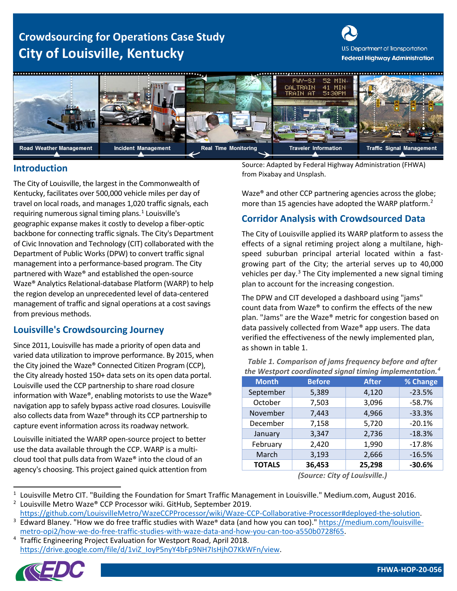# **Crowdsourcing for Operations Case Study City of Louisville, Kentucky**





The City of Louisville, the largest in the Commonwealth of Kentucky, facilitates over 500,000 vehicle miles per day of travel on local roads, and manages 1,020 traffic signals, each requiring numerous signal timing plans. $1$  Louisville's geographic expanse makes it costly to develop a fiber-optic backbone for connecting traffic signals. The City's Department of Civic Innovation and Technology (CIT) collaborated with the Department of Public Works(DPW) to convert traffic signal management into a performance-based program. The City partnered with Waze® and established the open-source Waze® Analytics Relational-database Platform (WARP) to help the region develop an unprecedented level of data-centered management of traffic and signal operations at a cost savings from previous methods.

# **Louisville's Crowdsourcing Journey**

Since 2011, Louisville has made a priority of open data and varied data utilization to improve performance. By 2015, when the City joined the Waze® Connected Citizen Program (CCP), the City already hosted 150+ data sets on its open data portal. Louisville used the CCP partnership to share road closure information with Waze®, enabling motorists to use the Waze® navigation app to safely bypass active road closures. Louisville also collects data from Waze® through its CCP partnership to capture event information across its roadway network.

Louisville initiated the WARP open-source project to better use the data available through the CCP. WARP is a multicloud tool that pulls data from Waze® into the cloud of an agency's choosing. This project gained quick attention from

Source: Adapted by Federal Highway Administration (FHWA) **Introduction**<br>**Introduction Introduction Introduction Introduction Integral** *Introduction* **Integral** *Insplash.* 

> Waze® and other CCP partnering agencies across the globe; more than 15 agencies have adopted the WARP platform.<sup>2</sup>

### **Corridor Analysis with Crowdsourced Data**

The City of Louisville applied its WARP platform to assess the effects of a signal retiming project along a multilane, highspeed suburban principal arterial located within a fastgrowing part of the City; the arterial serves up to 40,000 vehicles per day.<sup>[3](#page-0-2)</sup> The City implemented a new signal timing plan to account for the increasing congestion.

The DPW and CIT developed a dashboard using "jams" count data from Waze® to confirm the effects of the new plan. "Jams" are the Waze® metric for congestion based on data passively collected from Waze® app users. The data verified the effectiveness of the newly implemented plan, as shown in [table 1.](#page-0-0)

| <b>Month</b>  | <b>Before</b> | <b>After</b> | % Change |
|---------------|---------------|--------------|----------|
| September     | 5,389         | 4,120        | $-23.5%$ |
| October       | 7,503         | 3,096        | $-58.7%$ |
| November      | 7,443         | 4,966        | $-33.3%$ |
| December      | 7,158         | 5,720        | $-20.1%$ |
| January       | 3,347         | 2,736        | $-18.3%$ |
| February      | 2,420         | 1,990        | $-17.8%$ |
| March         | 3,193         | 2,666        | $-16.5%$ |
| <b>TOTALS</b> | 36,453        | 25,298       | $-30.6%$ |

<span id="page-0-0"></span>*Table 1. Comparison of jams frequency before and after the Westport coordinated signal timing implementation. [4](#page-0-3)*

*(Source: City of Louisville.)*

<span id="page-0-3"></span><sup>&</sup>lt;sup>4</sup> Traffic Engineering Project Evaluation for Westport Road, April 2018. [https://drive.google.com/file/d/1viZ\\_IoyP5nyY4bFp9NH7IsHjhO7KkWFn/view.](https://drive.google.com/file/d/1viZ_IoyP5nyY4bFp9NH7IsHjhO7KkWFn/view)



<span id="page-0-1"></span> $1$  Louisville Metro CIT. "Building the Foundation for Smart Traffic Management in Louisville." Medium.com, August 2016. <sup>2</sup> Louisville Metro Waze® CCP Processor wiki. GitHub, September 2019.

[https://github.com/LouisvilleMetro/WazeCCPProcessor/wiki/Waze-CCP-Collaborative-Processor#deployed-the-solution.](https://github.com/LouisvilleMetro/WazeCCPProcessor/wiki/Waze-CCP-Collaborative-Processor#deployed-the-solution)

<span id="page-0-2"></span><sup>.</sup>  [metro-opi2/how-we-do-free-traffic-studies-with-waze-data-and-how-you-can-too-a550b0728f65](https://medium.com/louisville-metro-opi2/how-we-do-free-traffic-studies-with-waze-data-and-how-you-can-too-a550b0728f65) <sup>3</sup> Edward Blaney. "How we do free traffic studies with Waze® data (and how you can too)." [https://medium.com/louisville-](https://medium.com/louisville-metro-opi2/how-we-do-free-traffic-studies-with-waze-data-and-how-you-can-too-a550b0728f65)